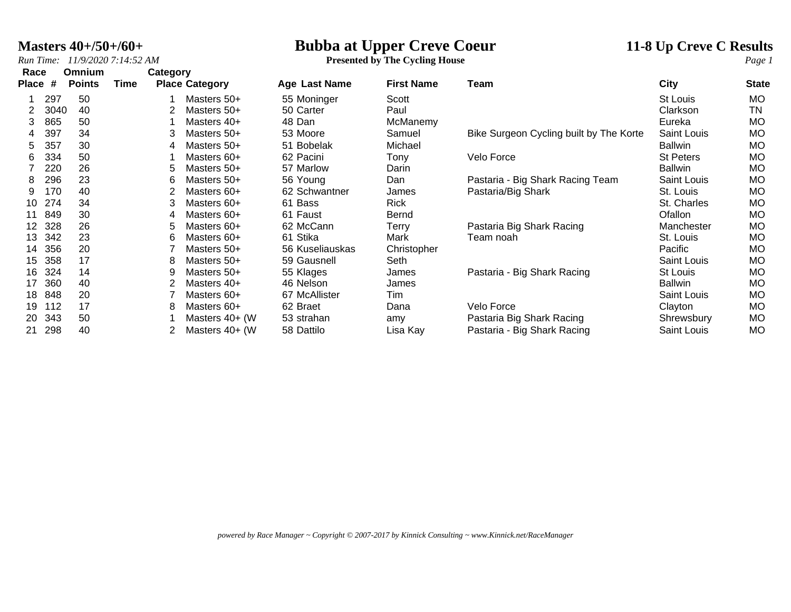**Masters 40+/50+/60+**<br>*Run Time:* 11/9/2020 7:14:52 AM<br>**Presented by The Cycling House**<br>*Page 1* **Presented by The Cycling House** 

| Race         |      | <b>Omnium</b> |      | Category |                       |                 |                   |                                         |                  |              |
|--------------|------|---------------|------|----------|-----------------------|-----------------|-------------------|-----------------------------------------|------------------|--------------|
| <b>Place</b> | #    | <b>Points</b> | Time |          | <b>Place Category</b> | Age Last Name   | <b>First Name</b> | Team                                    | City             | <b>State</b> |
|              | 297  | 50            |      |          | Masters 50+           | 55 Moninger     | Scott             |                                         | St Louis         | MO           |
|              | 3040 | 40            |      |          | Masters 50+           | 50 Carter       | Paul              |                                         | Clarkson         | <b>TN</b>    |
| 3            | 865  | 50            |      |          | Masters 40+           | 48 Dan          | McManemy          |                                         | Eureka           | <b>MO</b>    |
| 4            | 397  | 34            |      | 3        | Masters 50+           | 53 Moore        | Samuel            | Bike Surgeon Cycling built by The Korte | Saint Louis      | <b>MO</b>    |
| 5            | 357  | 30            |      | 4        | Masters 50+           | 51 Bobelak      | Michael           |                                         | <b>Ballwin</b>   | <b>MO</b>    |
| 6            | 334  | 50            |      |          | Masters 60+           | 62 Pacini       | Tony              | Velo Force                              | <b>St Peters</b> | <b>MO</b>    |
|              | 220  | 26            |      | 5        | Masters 50+           | 57 Marlow       | Darin             |                                         | <b>Ballwin</b>   | <b>MO</b>    |
| 8            | 296  | 23            |      | 6        | Masters 50+           | 56 Young        | Dan               | Pastaria - Big Shark Racing Team        | Saint Louis      | <b>MO</b>    |
| 9            | 170  | 40            |      |          | Masters 60+           | 62 Schwantner   | James             | Pastaria/Big Shark                      | St. Louis        | <b>MO</b>    |
| 10           | 274  | 34            |      | 3        | Masters 60+           | 61 Bass         | <b>Rick</b>       |                                         | St. Charles      | MO           |
|              | 849  | 30            |      | 4        | Masters 60+           | 61 Faust        | Bernd             |                                         | Ofallon          | <b>MO</b>    |
| 12           | 328  | 26            |      | 5        | Masters 60+           | 62 McCann       | Terry             | Pastaria Big Shark Racing               | Manchester       | <b>MO</b>    |
| 13           | 342  | 23            |      | 6        | Masters 60+           | 61 Stika        | Mark              | Team noah                               | St. Louis        | <b>MO</b>    |
| 14           | 356  | 20            |      |          | Masters 50+           | 56 Kuseliauskas | Christopher       |                                         | Pacific          | <b>MO</b>    |
| 15           | 358  | 17            |      | 8        | Masters 50+           | 59 Gausnell     | Seth              |                                         | Saint Louis      | MO           |
| 16           | 324  | 14            |      | 9        | Masters 50+           | 55 Klages       | James             | Pastaria - Big Shark Racing             | St Louis         | <b>MO</b>    |
| 17           | 360  | 40            |      |          | Masters 40+           | 46 Nelson       | James             |                                         | <b>Ballwin</b>   | <b>MO</b>    |
| 18           | 848  | 20            |      |          | Masters 60+           | 67 McAllister   | Tim               |                                         | Saint Louis      | <b>MO</b>    |
| 19           | 112  | 17            |      | 8        | Masters 60+           | 62 Braet        | Dana              | Velo Force                              | Clayton          | <b>MO</b>    |
| 20           | 343  | 50            |      |          | Masters 40+ (W        | 53 strahan      | amy               | Pastaria Big Shark Racing               | Shrewsbury       | <b>MO</b>    |
| 21           | 298  | 40            |      |          | Masters 40+ (W        | 58 Dattilo      | Lisa Kay          | Pastaria - Big Shark Racing             | Saint Louis      | <b>MO</b>    |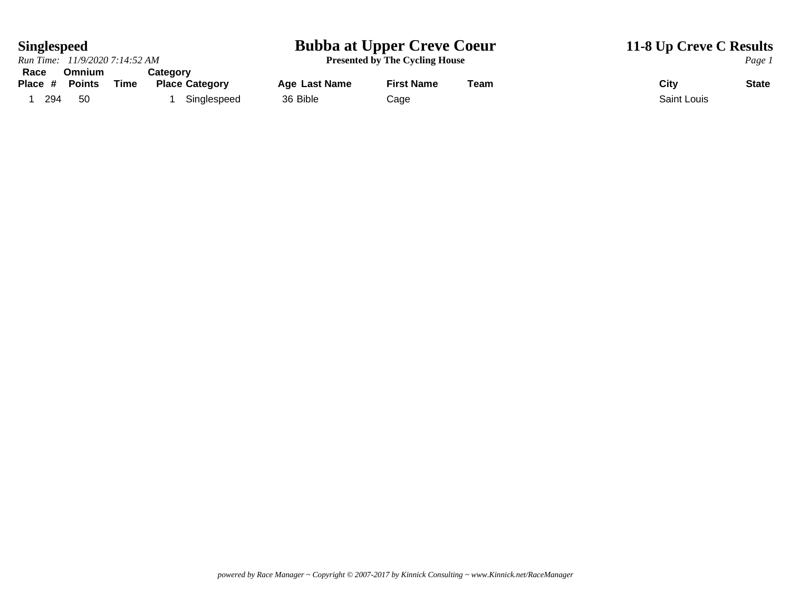## **Singlespeed Bubba at Upper Creve Coeur 11-8 Up Creve C Results**

*Run Time: 11/9/2020 7:14:52 AM* **Presented by The Cycling House** *Page 1* **Race Omnium Category** 1 294 50 1 Singlespeed 36 Bible Cage Cage 36 Saint Louis

**Place Last Name 4 First Name 4 Team Place City City City City State**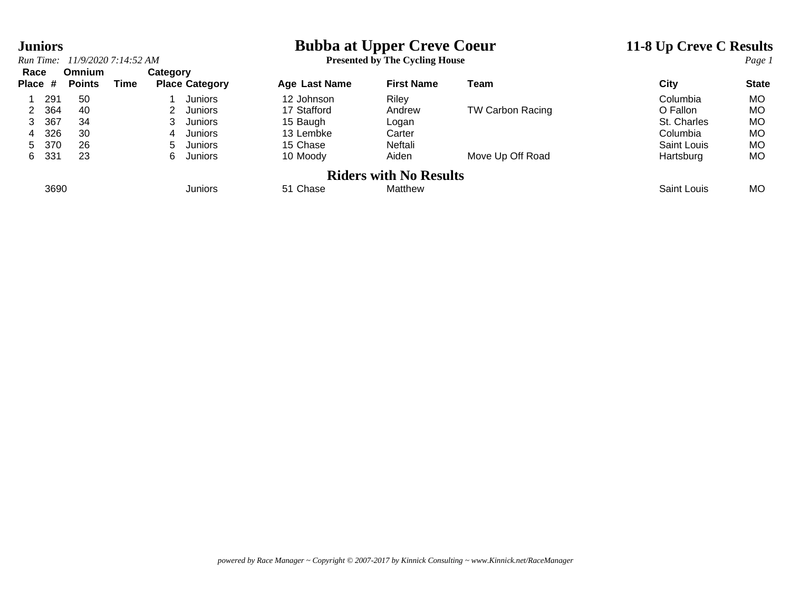# **Juniors**<br> **Bubba at Upper Creve Coeur**<br> **Presented by The Cycling House**<br> **Presented by The Cycling House**<br> **Presented by The Cycling House**

| Run Time: | 11/9/2020 7:14:52 AM | $^{\circ}$ Cycling House<br>$\blacksquare$ The $\blacksquare$<br><b>Presented by</b> | Page |
|-----------|----------------------|--------------------------------------------------------------------------------------|------|
|           |                      |                                                                                      |      |

| Race    |               | <b>Omnium</b> |             | Category |                       |               |                               |                         |             |              |
|---------|---------------|---------------|-------------|----------|-----------------------|---------------|-------------------------------|-------------------------|-------------|--------------|
| Place # | <b>Points</b> |               | <b>Time</b> |          | <b>Place Category</b> | Age Last Name | <b>First Name</b>             | Team                    | City        | <b>State</b> |
|         | 291           | 50            |             |          | Juniors               | 12 Johnson    | Riley                         |                         | Columbia    | MO           |
| 2       | 364           | 40            |             |          | <b>Juniors</b>        | 17 Stafford   | Andrew                        | <b>TW Carbon Racing</b> | O Fallon    | MO           |
| 3.      | 367           | 34            |             |          | Juniors               | 15 Baugh      | Logan                         |                         | St. Charles | MO           |
| 4       | 326           | 30            |             | 4        | Juniors               | 13 Lembke     | Carter                        |                         | Columbia    | MO           |
| 5.      | 370           | 26            |             | 5.       | Juniors               | 15 Chase      | Neftali                       |                         | Saint Louis | МO           |
| 6.      | 331           | 23            |             | 6.       | Juniors               | 10 Moody      | Aiden                         | Move Up Off Road        | Hartsburg   | МO           |
|         |               |               |             |          |                       |               | <b>Riders with No Results</b> |                         |             |              |
|         | 3690          |               |             |          | <b>Juniors</b>        | 51 Chase      | Matthew                       |                         | Saint Louis | MO           |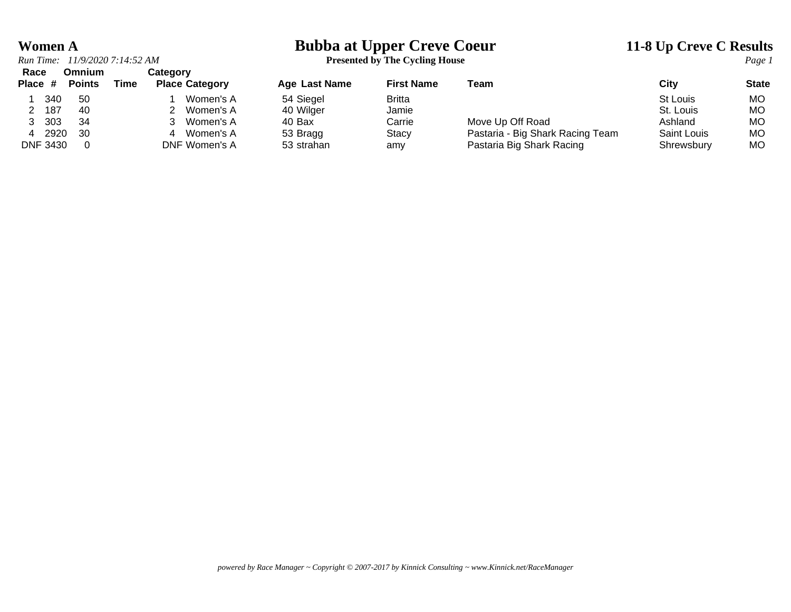# **Women A**<br> **Bubba at Upper Creve Coeur**<br> **11-8 Up Creve C Results**<br> **Presented by The Cycling House**<br> **Presented by The Cycling House**

**Presented by The Cycling House** 

| Race            | Omnium        |      | Categorv              |               |                   |                                  |                    |              |
|-----------------|---------------|------|-----------------------|---------------|-------------------|----------------------------------|--------------------|--------------|
| Place #         | <b>Points</b> | Time | <b>Place Category</b> | Age Last Name | <b>First Name</b> | Team                             | City               | <b>State</b> |
| 340             | 50            |      | Women's A             | 54 Siegel     | Britta            |                                  | St Louis           | <b>MO</b>    |
| 187             | 40            |      | Women's A             | 40 Wilger     | Jamie             |                                  | St. Louis          | МO           |
| 303             | -34           |      | Women's A             | 40 Bax        | Carrie            | Move Up Off Road                 | Ashland            | МO           |
|                 | 2920<br>-30   |      | Women's A<br>4        | 53 Bragg      | Stacv             | Pastaria - Big Shark Racing Team | <b>Saint Louis</b> | МO           |
| <b>DNF 3430</b> |               |      | DNF Women's A         | 53 strahan    | amy               | Pastaria Big Shark Racing        | Shrewsbury         | MO           |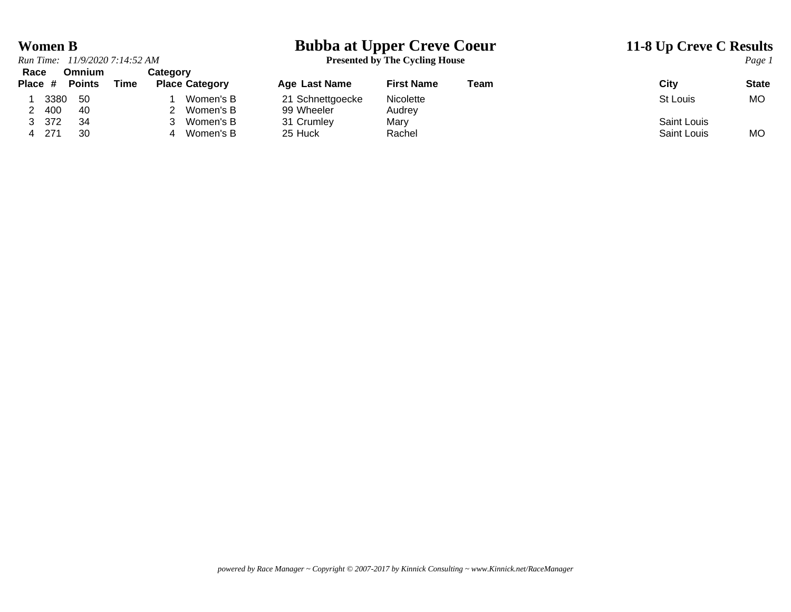# **Women B**<br> **Bubba at Upper Creve Coeur**<br> **11-8 Up Creve C Results**<br> **Presented by The Cycling House**<br> **Presented by The Cycling House**

|        | Run Time: 11/9/2020 7:14:52 AM     |          |                                            |
|--------|------------------------------------|----------|--------------------------------------------|
|        | Race Omnium                        | Category |                                            |
|        | Place # Points Time Place Category |          |                                            |
| 1 3380 | - 50                               |          | 1 Women's B                                |
| 2 400  | 40                                 |          | 2 Women's B                                |
| 3 372  | 34                                 |          | 3 Women's B                                |
| - 271  | ຈ∩                                 |          | $\Lambda$ $M_{\rm \Omega}$ $\sim$ $\Omega$ |

**Presented by The Cycling House** 

| nace<br>Place # |      | UIIIIIIIIIII<br><b>Points</b> | Time | <b>Calegory</b> | <b>Place Category</b> | <b>Age Last Name</b> | <b>First Name</b> | Team | City        | <b>State</b> |
|-----------------|------|-------------------------------|------|-----------------|-----------------------|----------------------|-------------------|------|-------------|--------------|
|                 | 3380 | 50                            |      |                 | Women's B             | 21 Schnettgoecke     | Nicolette         |      | St Louis    | МO           |
|                 | 400  | 40                            |      |                 | Women's B             | 99 Wheeler           | Audrev            |      |             |              |
| 3               | 372  | -34                           |      |                 | Women's B             | 31 Crumley           | Marv              |      | Saint Louis |              |
|                 | 271  | 30                            |      |                 | Women's B             | 25 Huck              | Rachel            |      | Saint Louis | <b>MO</b>    |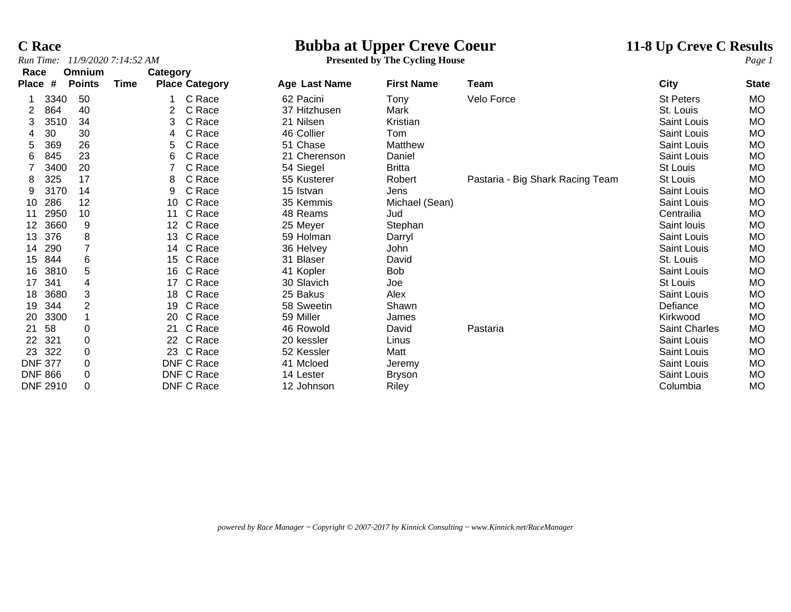**C Race**<br> **Bubba at Upper Creve Coeur**<br> **Presented by The Cycling House**<br> **Presented by The Cycling House**<br> **Presented by The Cycling House** 

## *Run Time: 11/9/2020 7:14:52 AM* **Presented by The Cycling House** *Page 1*

| Race            |      | Omnium        |      | Category |                       |               |                   |                                  |                      |              |
|-----------------|------|---------------|------|----------|-----------------------|---------------|-------------------|----------------------------------|----------------------|--------------|
| <b>Place</b>    | #    | <b>Points</b> | Time |          | <b>Place Category</b> | Age Last Name | <b>First Name</b> | Team                             | City                 | <b>State</b> |
|                 | 3340 | 50            |      |          | C Race                | 62 Pacini     | Tony              | Velo Force                       | <b>St Peters</b>     | MO           |
|                 | 864  | 40            |      | 2        | C Race                | 37 Hitzhusen  | Mark              |                                  | St. Louis            | MO           |
| 3               | 3510 | 34            |      | 3        | C Race                | 21 Nilsen     | Kristian          |                                  | Saint Louis          | <b>MO</b>    |
|                 | 30   | 30            |      | 4        | C Race                | 46 Collier    | Tom               |                                  | <b>Saint Louis</b>   | <b>MO</b>    |
| 5               | 369  | 26            |      | 5        | C Race                | 51 Chase      | Matthew           |                                  | Saint Louis          | MO           |
| 6               | 845  | 23            |      | 6        | C Race                | 21 Cherenson  | Daniel            |                                  | <b>Saint Louis</b>   | MO           |
|                 | 3400 | 20            |      |          | C Race                | 54 Siegel     | <b>Britta</b>     |                                  | St Louis             | <b>MO</b>    |
| 8               | 325  | 17            |      | 8        | C Race                | 55 Kusterer   | Robert            | Pastaria - Big Shark Racing Team | St Louis             | MO           |
| 9               | 3170 | 14            |      | 9        | C Race                | 15 Istvan     | Jens              |                                  | <b>Saint Louis</b>   | MO           |
| 10              | 286  | 12            |      | 10       | C Race                | 35 Kemmis     | Michael (Sean)    |                                  | Saint Louis          | <b>MO</b>    |
| 11              | 2950 | 10            |      | 11       | C Race                | 48 Reams      | Jud               |                                  | Centrailia           | <b>MO</b>    |
| 12              | 3660 | 9             |      | 12       | C Race                | 25 Meyer      | Stephan           |                                  | Saint Iouis          | MO           |
| 13              | 376  | 8             |      | 13       | C Race                | 59 Holman     | Darryl            |                                  | Saint Louis          | <b>MO</b>    |
| 14              | 290  |               |      | 14       | C Race                | 36 Helvey     | John              |                                  | Saint Louis          | MO           |
| 15              | 844  | 6             |      | 15       | C Race                | 31 Blaser     | David             |                                  | St. Louis            | MO           |
| 16              | 3810 | 5             |      | 16       | C Race                | 41 Kopler     | Bob               |                                  | <b>Saint Louis</b>   | <b>MO</b>    |
| 17              | 341  | 4             |      | 17       | C Race                | 30 Slavich    | Joe               |                                  | St Louis             | MO           |
| 18              | 3680 | 3             |      | 18       | C Race                | 25 Bakus      | Alex              |                                  | Saint Louis          | <b>MO</b>    |
| 19              | 344  | 2             |      | 19       | C Race                | 58 Sweetin    | Shawn             |                                  | Defiance             | MO           |
| 20              | 3300 |               |      | 20       | C Race                | 59 Miller     | James             |                                  | Kirkwood             | <b>MO</b>    |
| 21              | 58   | 0             |      | 21       | C Race                | 46 Rowold     | David             | Pastaria                         | <b>Saint Charles</b> | <b>MO</b>    |
| 22              | 321  | 0             |      | 22       | C Race                | 20 kessler    | Linus             |                                  | <b>Saint Louis</b>   | MO           |
| 23              | 322  | 0             |      |          | 23 C Race             | 52 Kessler    | Matt              |                                  | Saint Louis          | <b>MO</b>    |
| <b>DNF 377</b>  |      | $\pmb{0}$     |      |          | DNF C Race            | 41 Mcloed     | Jeremy            |                                  | Saint Louis          | MO           |
| <b>DNF 866</b>  |      | 0             |      |          | DNF C Race            | 14 Lester     | <b>Bryson</b>     |                                  | Saint Louis          | MO           |
| <b>DNF 2910</b> |      | 0             |      |          | DNF C Race            | 12 Johnson    | Riley             |                                  | Columbia             | <b>MO</b>    |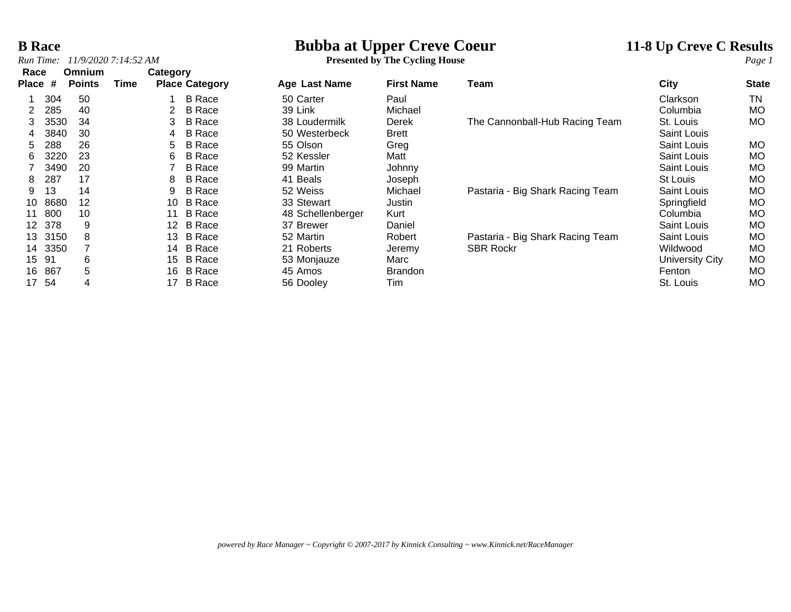# **B Race**<br> **Bubba at Upper Creve Coeur**<br> **11-8 Up Creve C Results**<br> **Presented by The Cycling House**<br> **Presented by The Cycling House**

## *Run Time:* 11/9/2020 7:14:52 AM **Presented by The Cycling House**

| Race  |      | Omnium        |      | Category |                       |                   |                   |                                  |                    |              |
|-------|------|---------------|------|----------|-----------------------|-------------------|-------------------|----------------------------------|--------------------|--------------|
| Place | #    | <b>Points</b> | Time |          | <b>Place Category</b> | Age Last Name     | <b>First Name</b> | Team                             | City               | <b>State</b> |
|       | 304  | 50            |      |          | <b>B</b> Race         | 50 Carter         | Paul              |                                  | Clarkson           | ΤN           |
| 2     | 285  | 40            |      |          | <b>B</b> Race         | 39 Link           | Michael           |                                  | Columbia           | <b>MO</b>    |
| 3     | 3530 | 34            |      | 3        | <b>B</b> Race         | 38 Loudermilk     | Derek             | The Cannonball-Hub Racing Team   | St. Louis          | MO           |
| 4     | 3840 | 30            |      | 4        | <b>B</b> Race         | 50 Westerbeck     | <b>Brett</b>      |                                  | Saint Louis        |              |
| 5     | 288  | 26            |      | 5.       | <b>B</b> Race         | 55 Olson          | Greg              |                                  | Saint Louis        | MO.          |
| 6     | 3220 | 23            |      | 6        | <b>B</b> Race         | 52 Kessler        | Matt              |                                  | Saint Louis        | МO           |
|       | 3490 | 20            |      |          | <b>B</b> Race         | 99 Martin         | Johnny            |                                  | Saint Louis        | <b>MO</b>    |
| 8     | 287  | 17            |      | 8        | <b>B</b> Race         | 41 Beals          | Joseph            |                                  | St Louis           | МO           |
| 9     | 13   | 14            |      | 9        | <b>B</b> Race         | 52 Weiss          | Michael           | Pastaria - Big Shark Racing Team | <b>Saint Louis</b> | МO           |
| 10    | 8680 | 12            |      | 10       | <b>B</b> Race         | 33 Stewart        | Justin            |                                  | Springfield        | MO           |
| 11    | 800  | 10            |      | 11       | <b>B</b> Race         | 48 Schellenberger | Kurt              |                                  | Columbia           | МO           |
| 12    | 378  | 9             |      | 12       | <b>B</b> Race         | 37 Brewer         | Daniel            |                                  | <b>Saint Louis</b> | МO           |
| 13    | 3150 | 8             |      | 13       | B Race                | 52 Martin         | Robert            | Pastaria - Big Shark Racing Team | <b>Saint Louis</b> | МO           |
| 14    | 3350 |               |      | 14       | <b>B</b> Race         | 21 Roberts        | Jeremy            | <b>SBR Rockr</b>                 | Wildwood           | МO           |
| 15    | -91  | 6             |      | 15       | <b>B</b> Race         | 53 Monjauze       | Marc              |                                  | University City    | МO           |
| 16    | 867  | 5             |      | 16       | <b>B</b> Race         | 45 Amos           | <b>Brandon</b>    |                                  | Fenton             | <b>MO</b>    |
| 17    | 54   | 4             |      | 17       | <b>B</b> Race         | 56 Dooley         | Tim               |                                  | St. Louis          | MO           |